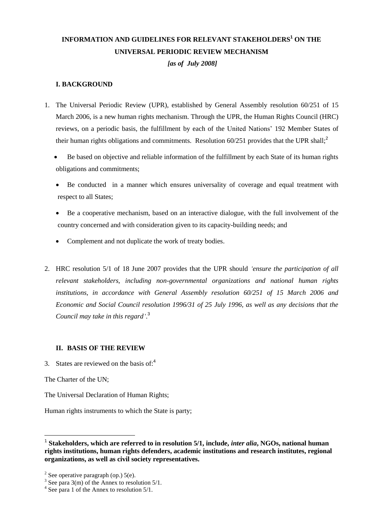# **INFORMATION AND GUIDELINES FOR RELEVANT STAKEHOLDERS<sup>1</sup> ON THE UNIVERSAL PERIODIC REVIEW MECHANISM**  *[as of July 2008]*

### **I. BACKGROUND**

- 1. The Universal Periodic Review (UPR), established by General Assembly resolution 60/251 of 15 March 2006, is a new human rights mechanism. Through the UPR, the Human Rights Council (HRC) reviews, on a periodic basis, the fulfillment by each of the United Nations' 192 Member States of their human rights obligations and commitments. Resolution  $60/251$  provides that the UPR shall;<sup>2</sup>
	- Be based on objective and reliable information of the fulfillment by each State of its human rights obligations and commitments;
	- Be conducted in a manner which ensures universality of coverage and equal treatment with respect to all States;
	- Be a cooperative mechanism, based on an interactive dialogue, with the full involvement of the country concerned and with consideration given to its capacity-building needs; and
	- Complement and not duplicate the work of treaty bodies.
- 2. HRC resolution 5/1 of 18 June 2007 provides that the UPR should *"ensure the participation of all relevant stakeholders, including non-governmental organizations and national human rights institutions, in accordance with General Assembly resolution 60/251 of 15 March 2006 and Economic and Social Council resolution 1996/31 of 25 July 1996, as well as any decisions that the Council may take in this regard"*. 3

### **II. BASIS OF THE REVIEW**

3. States are reviewed on the basis of:<sup>4</sup>

The Charter of the UN;

 $\overline{a}$ 

The Universal Declaration of Human Rights;

Human rights instruments to which the State is party;

<sup>1</sup> **Stakeholders, which are referred to in resolution 5/1, include,** *inter alia***, NGOs, national human rights institutions, human rights defenders, academic institutions and research institutes, regional organizations, as well as civil society representatives.**

<sup>&</sup>lt;sup>2</sup> See operative paragraph (op.)  $5(e)$ .

 $3$  See para 3(m) of the Annex to resolution 5/1.

<sup>&</sup>lt;sup>4</sup> See para 1 of the Annex to resolution 5/1.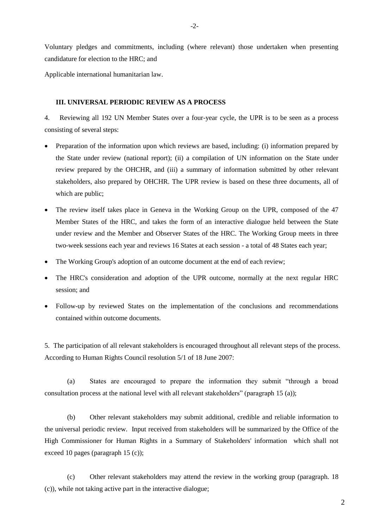Voluntary pledges and commitments, including (where relevant) those undertaken when presenting candidature for election to the HRC; and

Applicable international humanitarian law.

#### **III. UNIVERSAL PERIODIC REVIEW AS A PROCESS**

4. Reviewing all 192 UN Member States over a four-year cycle, the UPR is to be seen as a process consisting of several steps:

- Preparation of the information upon which reviews are based, including: (i) information prepared by the State under review (national report); (ii) a compilation of UN information on the State under review prepared by the OHCHR, and (iii) a summary of information submitted by other relevant stakeholders, also prepared by OHCHR. The UPR review is based on these three documents, all of which are public;
- The review itself takes place in Geneva in the Working Group on the UPR, composed of the 47 Member States of the HRC, and takes the form of an interactive dialogue held between the State under review and the Member and Observer States of the HRC. The Working Group meets in three two-week sessions each year and reviews 16 States at each session - a total of 48 States each year;
- The Working Group's adoption of an outcome document at the end of each review;
- The HRC's consideration and adoption of the UPR outcome, normally at the next regular HRC session; and
- Follow-up by reviewed States on the implementation of the conclusions and recommendations contained within outcome documents.

5. The participation of all relevant stakeholders is encouraged throughout all relevant steps of the process. According to Human Rights Council resolution 5/1 of 18 June 2007:

(a) States are encouraged to prepare the information they submit "through a broad consultation process at the national level with all relevant stakeholders" (paragraph 15 (a));

(b) Other relevant stakeholders may submit additional, credible and reliable information to the universal periodic review. Input received from stakeholders will be summarized by the Office of the High Commissioner for Human Rights in a Summary of Stakeholders' information which shall not exceed 10 pages (paragraph 15 (c));

(c) Other relevant stakeholders may attend the review in the working group (paragraph. 18 (c)), while not taking active part in the interactive dialogue;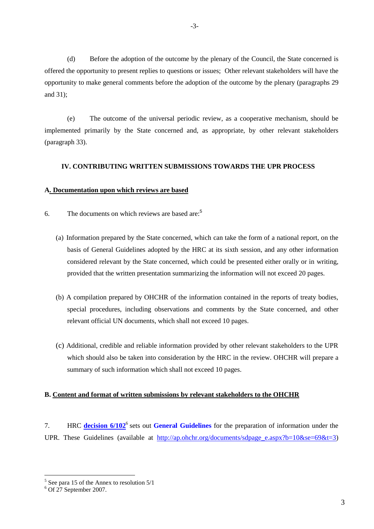(d) Before the adoption of the outcome by the plenary of the Council, the State concerned is offered the opportunity to present replies to questions or issues; Other relevant stakeholders will have the opportunity to make general comments before the adoption of the outcome by the plenary (paragraphs 29 and 31);

(e) The outcome of the universal periodic review, as a cooperative mechanism, should be implemented primarily by the State concerned and, as appropriate, by other relevant stakeholders (paragraph 33).

### **IV. CONTRIBUTING WRITTEN SUBMISSIONS TOWARDS THE UPR PROCESS**

### **A. Documentation upon which reviews are based**

- 6. The documents on which reviews are based are:<sup>5</sup>
	- (a) Information prepared by the State concerned, which can take the form of a national report, on the basis of General Guidelines adopted by the HRC at its sixth session, and any other information considered relevant by the State concerned, which could be presented either orally or in writing, provided that the written presentation summarizing the information will not exceed 20 pages.
	- (b) A compilation prepared by OHCHR of the information contained in the reports of treaty bodies, special procedures, including observations and comments by the State concerned, and other relevant official UN documents, which shall not exceed 10 pages.
	- (c) Additional, credible and reliable information provided by other relevant stakeholders to the UPR which should also be taken into consideration by the HRC in the review. OHCHR will prepare a summary of such information which shall not exceed 10 pages.

### **B. Content and format of written submissions by relevant stakeholders to the OHCHR**

7. HRC **[decision 6/102](http://ap.ohchr.org/documents/E/HRC/decisions/A_HRC_DEC_6_102.pdf)<sup>6</sup>** sets out **[General Guidelines](http://ap.ohchr.org/documents/dpage_e.aspx?si=A/HRC/6/L.24)** for the preparation of information under the UPR. These Guidelines (available at [http://ap.ohchr.org/documents/sdpage\\_e.aspx?b=10&se=69&t=3\)](http://ap.ohchr.org/documents/sdpage_e.aspx?b=10&se=69&t=3)

 $\overline{a}$ 

 $<sup>5</sup>$  See para 15 of the Annex to resolution 5/1</sup>

 $6$  Of 27 September 2007.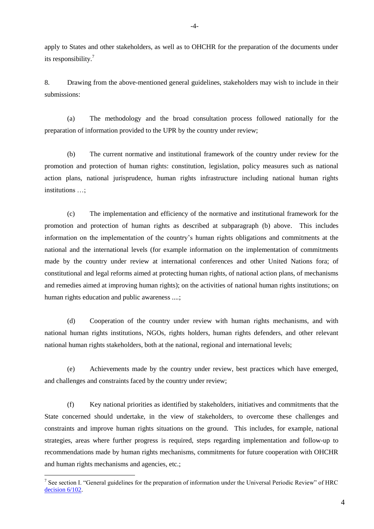apply to States and other stakeholders, as well as to OHCHR for the preparation of the documents under its responsibility.<sup>7</sup>

8. Drawing from the above-mentioned general guidelines, stakeholders may wish to include in their submissions:

(a) The methodology and the broad consultation process followed nationally for the preparation of information provided to the UPR by the country under review;

(b) The current normative and institutional framework of the country under review for the promotion and protection of human rights: constitution, legislation, policy measures such as national action plans, national jurisprudence, human rights infrastructure including national human rights institutions …;

(c) The implementation and efficiency of the normative and institutional framework for the promotion and protection of human rights as described at subparagraph (b) above. This includes information on the implementation of the country's human rights obligations and commitments at the national and the international levels (for example information on the implementation of commitments made by the country under review at international conferences and other United Nations fora; of constitutional and legal reforms aimed at protecting human rights, of national action plans, of mechanisms and remedies aimed at improving human rights); on the activities of national human rights institutions; on human rights education and public awareness ....;

(d) Cooperation of the country under review with human rights mechanisms, and with national human rights institutions, NGOs, rights holders, human rights defenders, and other relevant national human rights stakeholders, both at the national, regional and international levels;

(e) Achievements made by the country under review, best practices which have emerged, and challenges and constraints faced by the country under review;

(f) Key national priorities as identified by stakeholders, initiatives and commitments that the State concerned should undertake, in the view of stakeholders, to overcome these challenges and constraints and improve human rights situations on the ground. This includes, for example, national strategies, areas where further progress is required, steps regarding implementation and follow-up to recommendations made by human rights mechanisms, commitments for future cooperation with OHCHR and human rights mechanisms and agencies, etc.;

 $\overline{a}$ 

<sup>&</sup>lt;sup>7</sup> See section I. "General guidelines for the preparation of information under the Universal Periodic Review" of HRC [decision 6/102.](http://ap.ohchr.org/documents/E/HRC/decisions/A_HRC_DEC_6_102.pdf)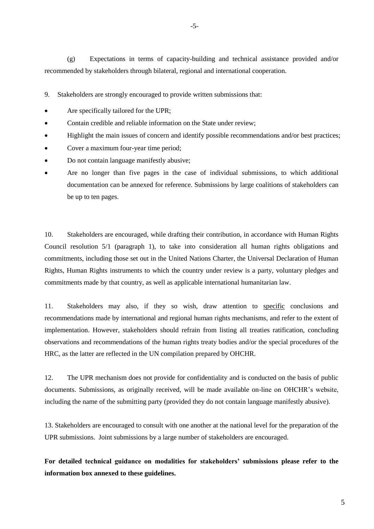(g) Expectations in terms of capacity-building and technical assistance provided and/or recommended by stakeholders through bilateral, regional and international cooperation.

9. Stakeholders are strongly encouraged to provide written submissions that:

- Are specifically tailored for the UPR;
- Contain credible and reliable information on the State under review;
- Highlight the main issues of concern and identify possible recommendations and/or best practices;
- Cover a maximum four-year time period;
- Do not contain language manifestly abusive;
- Are no longer than five pages in the case of individual submissions, to which additional documentation can be annexed for reference. Submissions by large coalitions of stakeholders can be up to ten pages.

10. Stakeholders are encouraged, while drafting their contribution, in accordance with Human Rights Council resolution 5/1 (paragraph 1), to take into consideration all human rights obligations and commitments, including those set out in the United Nations Charter, the Universal Declaration of Human Rights, Human Rights instruments to which the country under review is a party, voluntary pledges and commitments made by that country, as well as applicable international humanitarian law.

11. Stakeholders may also, if they so wish, draw attention to specific conclusions and recommendations made by international and regional human rights mechanisms, and refer to the extent of implementation. However, stakeholders should refrain from listing all treaties ratification, concluding observations and recommendations of the human rights treaty bodies and/or the [special procedures](http://www2.ohchr.org/english/bodies/chr/special/index.htm) of the HRC, as the latter are reflected in the UN compilation prepared by OHCHR.

12. The UPR mechanism does not provide for confidentiality and is conducted on the basis of public documents. Submissions, as originally received, will be made available on-line on OHCHR's website, including the name of the submitting party (provided they do not contain language manifestly abusive).

13. Stakeholders are encouraged to consult with one another at the national level for the preparation of the UPR submissions. Joint submissions by a large number of stakeholders are encouraged.

**For detailed technical guidance on modalities for stakeholders' submissions please refer to the information box annexed to these guidelines.**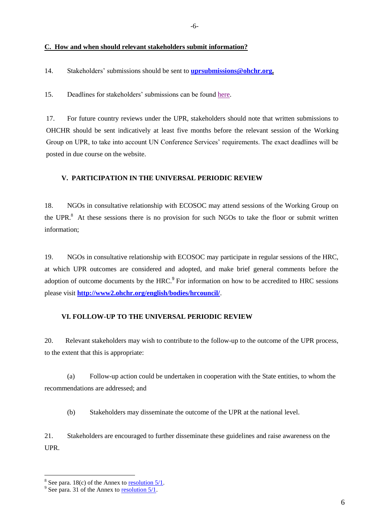#### **C. How and when should relevant stakeholders submit information?**

14. Stakeholders' submissions should be sent to **[uprsubmissions@ohchr.org.](mailto:UPRsubmissions@ohchr.org)**

15. Deadlines for stakeholders' submissions can be foun[d here.](http://www.ohchr.org/EN/HRBodies/UPR/Pages/NewDeadlines.aspx)

17. For future country reviews under the UPR, stakeholders should note that written submissions to OHCHR should be sent indicatively at least five months before the relevant session of the Working Group on UPR, to take into account UN Conference Services' requirements. The exact deadlines will be posted in due course on the website.

#### **V. PARTICIPATION IN THE UNIVERSAL PERIODIC REVIEW**

18. NGOs in consultative relationship with ECOSOC may attend sessions of the Working Group on the UPR.<sup>8</sup> At these sessions there is no provision for such NGOs to take the floor or submit written information;

19. NGOs in consultative relationship with ECOSOC may participate in regular sessions of the HRC, at which UPR outcomes are considered and adopted, and make brief general comments before the adoption of outcome documents by the  $HRC<sup>9</sup>$  For information on how to be accredited to HRC sessions please visit **<http://www2.ohchr.org/english/bodies/hrcouncil/>**.

#### **VI. FOLLOW-UP TO THE UNIVERSAL PERIODIC REVIEW**

20. Relevant stakeholders may wish to contribute to the follow-up to the outcome of the UPR process, to the extent that this is appropriate:

(a) Follow-up action could be undertaken in cooperation with the State entities, to whom the recommendations are addressed; and

(b) Stakeholders may disseminate the outcome of the UPR at the national level.

21. Stakeholders are encouraged to further disseminate these guidelines and raise awareness on the UPR.

 $\overline{a}$ 

<sup>&</sup>lt;sup>8</sup> See para. 18(c) of the Annex to **resolution 5/1**.

 $9^9$  See para. 31 of the Annex to resolution  $5/1$ .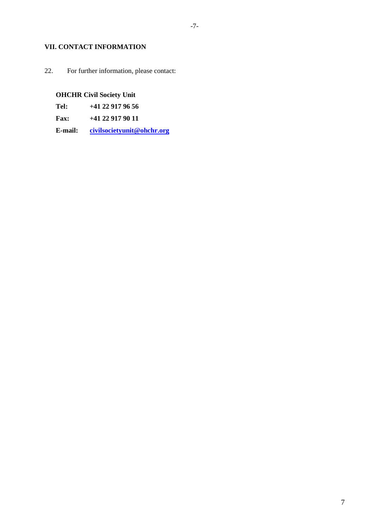### **VII. CONTACT INFORMATION**

22. For further information, please contact:

# **OHCHR Civil Society Unit**

**Tel: +41 22 917 96 56**

**Fax: +41 22 917 90 11**

**E-mail: [civilsocietyunit@ohchr.org](mailto:civilsocietyunit@ohchr.org)**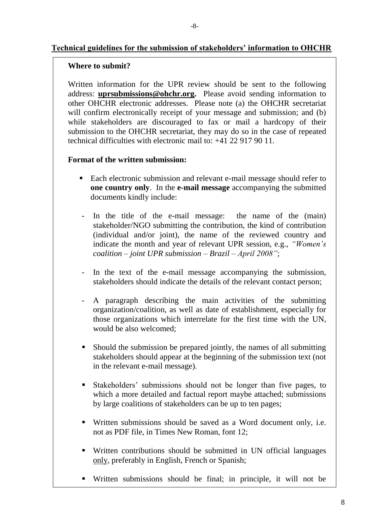# **Technical guidelines for the submission of stakeholders' information to OHCHR**

## **Where to submit?**

Written information for the UPR review should be sent to the following address: **[uprsubmissions@ohchr.org.](mailto:UPRsubmissions@ohchr.org)** Please avoid sending information to other OHCHR electronic addresses. Please note (a) the OHCHR secretariat will confirm electronically receipt of your message and submission; and (b) while stakeholders are discouraged to fax or mail a hardcopy of their submission to the OHCHR secretariat, they may do so in the case of repeated technical difficulties with electronic mail to: +41 22 917 90 11.

### **Format of the written submission:**

- Each electronic submission and relevant e-mail message should refer to **one country only**. In the **e-mail message** accompanying the submitted documents kindly include:
- In the title of the e-mail message: the name of the (main) stakeholder/NGO submitting the contribution, the kind of contribution (individual and/or joint), the name of the reviewed country and indicate the month and year of relevant UPR session, e.g., *"Women"s coalition – joint UPR submission – Brazil – April 2008"*;
- In the text of the e-mail message accompanying the submission, stakeholders should indicate the details of the relevant contact person;
- A paragraph describing the main activities of the submitting organization/coalition, as well as date of establishment, especially for those organizations which interrelate for the first time with the UN, would be also welcomed:
- Should the submission be prepared jointly, the names of all submitting stakeholders should appear at the beginning of the submission text (not in the relevant e-mail message).
- Stakeholders' submissions should not be longer than five pages, to which a more detailed and factual report maybe attached; submissions by large coalitions of stakeholders can be up to ten pages;
- Written submissions should be saved as a Word document only, i.e. not as PDF file, in Times New Roman, font 12;
- Written contributions should be submitted in UN official languages only, preferably in English, French or Spanish;
- Written submissions should be final; in principle, it will not be